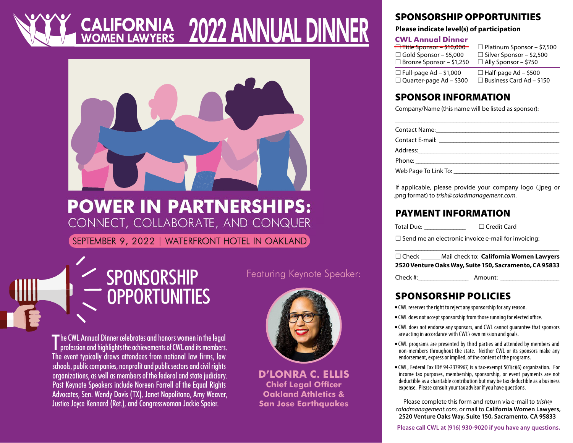# 2022 ANNUAL DINNER



### **POWER IN PARTNERSHIPS:** CONNECT, COLLABORATE, AND CONQUER

SEPTEMBER 9, 2022 | WATERFRONT HOTEL IN OAKLAND

### SPONSORSHIP OPPORTUNITIES

The CWL Annual Dinner celebrates and honors women in the legal<br>profession and highlights the achievements of CWL and its members. **profession and highlights the achievements of CWL and its members.** The event typically draws attendees from national law firms, law schools, public companies, nonprofit and public sectors and civil rights organizations, as well as members of the federal and state judiciary. Past Keynote Speakers include Noreen Farrell of the Equal Rights Advocates, Sen. Wendy Davis (TX), Janet Napolitano, Amy Weaver, Justice Joyce Kennard (Ret.), and Congresswoman Jackie Speier.

Featuring Keynote Speaker:



**D'LONRA C. ELLIS Chief Legal Officer Oakland Athletics & San Jose Earthquakes**

### SPONSORSHIP OPPORTUNITIES

#### **Please indicate level(s) of participation**

#### **CWL Annual Dinner**

| $\overline{$ Title Sponsor – \$10,000 | $\Box$ Platinum Sponsor – \$7,500 |
|---------------------------------------|-----------------------------------|
| $\Box$ Gold Sponsor – \$5,000         | $\Box$ Silver Sponsor – \$2,500   |
| $\Box$ Bronze Sponsor – \$1,250       | $\Box$ Ally Sponsor - \$750       |
| $\Box$ Full-page Ad – \$1,000         | $\Box$ Half-page Ad – \$500       |
| □ Quarter-page Ad - \$300             | $\Box$ Business Card Ad - \$150   |

### SPONSOR INFORMATION

Company/Name (this name will be listed as sponsor):

If applicable, please provide your company logo (.jpeg or .png format) to *[trish@caladmanagement.com.](mailto:trish%40caladmanagement.com?subject=)*

### PAYMENT INFORMATION

Total Due: \_\_\_\_\_\_\_\_\_\_\_\_\_\_ Credit Card

 $\square$  Send me an electronic invoice e-mail for invoicing:

\_\_\_\_\_\_\_\_\_\_\_\_\_\_\_\_\_\_\_\_\_\_\_\_\_\_\_\_\_\_\_\_\_\_\_\_\_\_\_\_\_\_\_\_\_\_\_\_\_\_\_\_\_\_\_\_ Check \_\_\_\_\_\_Mail check to: **California Women Lawyers 2520 Venture Oaks Way, Suite 150, Sacramento, CA 95833** 

Check #:\_\_\_\_\_\_\_\_\_\_\_\_\_\_\_\_\_ Amount: \_\_\_\_\_\_\_\_\_\_\_\_\_\_\_\_\_\_\_\_

### SPONSORSHIP POLICIES

- CWL reserves the right to reject any sponsorship for any reason.
- CWL does not accept sponsorship from those running for elected office.
- CWL does not endorse any sponsors, and CWL cannot guarantee that sponsors are acting in accordance with CWL's own mission and goals.
- CWL programs are presented by third parties and attended by members and non-members throughout the state. Neither CWL or its sponsors make any endorsement, express or implied, of the content of the programs.
- CWL, Federal Tax ID# 94-2379967, is a tax-exempt 501(c)(6) organization. For income tax purposes, membership, sponsorship, or event payments are not deductible as a charitable contribution but may be tax deductible as a business expense. Please consult your tax advisor if you have questions.

Please complete this form and return via e-mail to *[trish@](mailto:trish%40caladmanagement.com?subject=) [caladmanagement.com](mailto:trish%40caladmanagement.com?subject=)*, or mail to **California Women Lawyers, 2520 Venture Oaks Way, Suite 150, Sacramento, CA 95833**